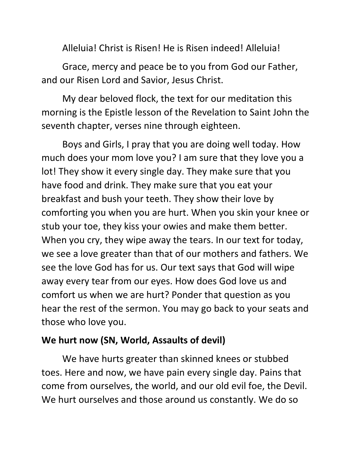Alleluia! Christ is Risen! He is Risen indeed! Alleluia!

Grace, mercy and peace be to you from God our Father, and our Risen Lord and Savior, Jesus Christ.

My dear beloved flock, the text for our meditation this morning is the Epistle lesson of the Revelation to Saint John the seventh chapter, verses nine through eighteen.

Boys and Girls, I pray that you are doing well today. How much does your mom love you? I am sure that they love you a lot! They show it every single day. They make sure that you have food and drink. They make sure that you eat your breakfast and bush your teeth. They show their love by comforting you when you are hurt. When you skin your knee or stub your toe, they kiss your owies and make them better. When you cry, they wipe away the tears. In our text for today, we see a love greater than that of our mothers and fathers. We see the love God has for us. Our text says that God will wipe away every tear from our eyes. How does God love us and comfort us when we are hurt? Ponder that question as you hear the rest of the sermon. You may go back to your seats and those who love you.

## **We hurt now (SN, World, Assaults of devil)**

We have hurts greater than skinned knees or stubbed toes. Here and now, we have pain every single day. Pains that come from ourselves, the world, and our old evil foe, the Devil. We hurt ourselves and those around us constantly. We do so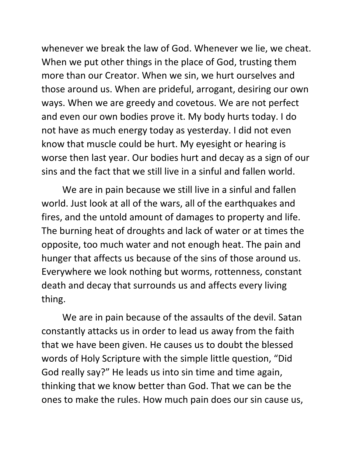whenever we break the law of God. Whenever we lie, we cheat. When we put other things in the place of God, trusting them more than our Creator. When we sin, we hurt ourselves and those around us. When are prideful, arrogant, desiring our own ways. When we are greedy and covetous. We are not perfect and even our own bodies prove it. My body hurts today. I do not have as much energy today as yesterday. I did not even know that muscle could be hurt. My eyesight or hearing is worse then last year. Our bodies hurt and decay as a sign of our sins and the fact that we still live in a sinful and fallen world.

We are in pain because we still live in a sinful and fallen world. Just look at all of the wars, all of the earthquakes and fires, and the untold amount of damages to property and life. The burning heat of droughts and lack of water or at times the opposite, too much water and not enough heat. The pain and hunger that affects us because of the sins of those around us. Everywhere we look nothing but worms, rottenness, constant death and decay that surrounds us and affects every living thing.

We are in pain because of the assaults of the devil. Satan constantly attacks us in order to lead us away from the faith that we have been given. He causes us to doubt the blessed words of Holy Scripture with the simple little question, "Did God really say?" He leads us into sin time and time again, thinking that we know better than God. That we can be the ones to make the rules. How much pain does our sin cause us,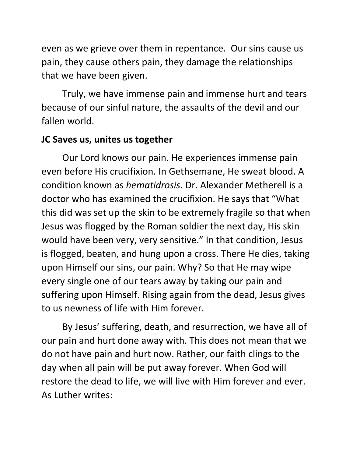even as we grieve over them in repentance. Our sins cause us pain, they cause others pain, they damage the relationships that we have been given.

Truly, we have immense pain and immense hurt and tears because of our sinful nature, the assaults of the devil and our fallen world.

## **JC Saves us, unites us together**

Our Lord knows our pain. He experiences immense pain even before His crucifixion. In Gethsemane, He sweat blood. A condition known as *hematidrosis*. Dr. Alexander Metherell is a doctor who has examined the crucifixion. He says that "What this did was set up the skin to be extremely fragile so that when Jesus was flogged by the Roman soldier the next day, His skin would have been very, very sensitive." In that condition, Jesus is flogged, beaten, and hung upon a cross. There He dies, taking upon Himself our sins, our pain. Why? So that He may wipe every single one of our tears away by taking our pain and suffering upon Himself. Rising again from the dead, Jesus gives to us newness of life with Him forever.

By Jesus' suffering, death, and resurrection, we have all of our pain and hurt done away with. This does not mean that we do not have pain and hurt now. Rather, our faith clings to the day when all pain will be put away forever. When God will restore the dead to life, we will live with Him forever and ever. As Luther writes: